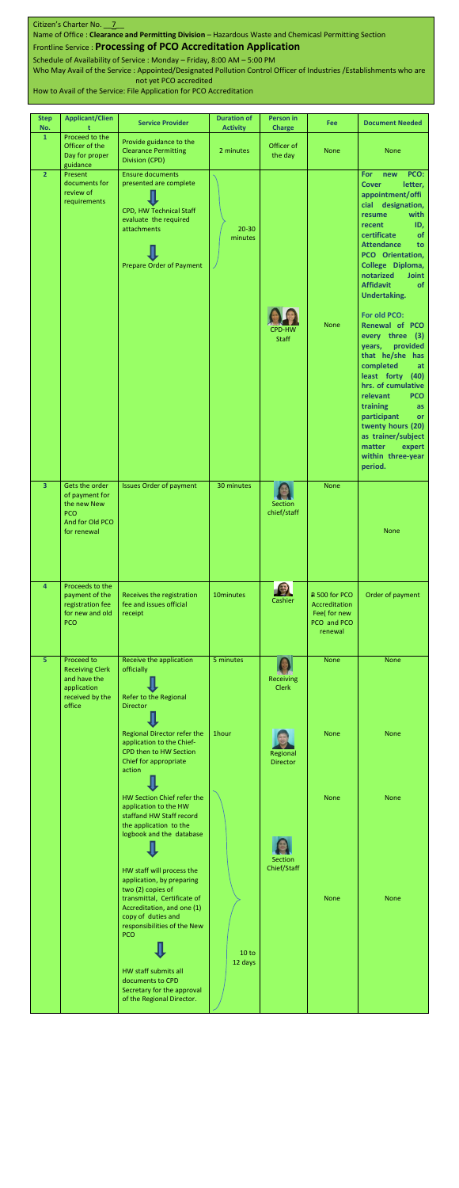| <b>Step</b><br>No.      | <b>Applicant/Clien</b>                                                                   | <b>Service Provider</b>                                                                                                                                 | <b>Duration of</b><br><b>Activity</b> | Person in<br><b>Charge</b>    | Fee                                                                      | <b>Document Needed</b>                                                                                                                                                                                                                                                                                                                                                                                                                                                                                                                                                                                                                |
|-------------------------|------------------------------------------------------------------------------------------|---------------------------------------------------------------------------------------------------------------------------------------------------------|---------------------------------------|-------------------------------|--------------------------------------------------------------------------|---------------------------------------------------------------------------------------------------------------------------------------------------------------------------------------------------------------------------------------------------------------------------------------------------------------------------------------------------------------------------------------------------------------------------------------------------------------------------------------------------------------------------------------------------------------------------------------------------------------------------------------|
| $\mathbf{1}$            | Proceed to the<br>Officer of the<br>Day for proper<br>guidance                           | Provide guidance to the<br><b>Clearance Permitting</b><br>Division (CPD)                                                                                | 2 minutes                             | Officer of<br>the day         | <b>None</b>                                                              | <b>None</b>                                                                                                                                                                                                                                                                                                                                                                                                                                                                                                                                                                                                                           |
| $\overline{2}$          | Present<br>documents for<br>review of<br>requirements                                    | <b>Ensure documents</b><br>presented are complete<br>CPD, HW Technical Staff<br>evaluate the required<br>attachments<br><b>Prepare Order of Payment</b> | $20 - 30$<br>minutes                  | <b>CPD-HW</b><br><b>Staff</b> | <b>None</b>                                                              | PCO:<br><b>For</b><br>new<br>letter,<br><b>Cover</b><br>appointment/offi<br>cial designation,<br>with<br>resume<br>ID,<br>recent<br>certificate<br>of<br><b>Attendance</b><br>to<br>PCO Orientation,<br>College Diploma,<br>notarized<br><b>Joint</b><br><b>Affidavit</b><br><b>of</b><br><b>Undertaking.</b><br>For old PCO:<br>Renewal of PCO<br>every three (3)<br>provided<br>years,<br>that he/she has<br>completed<br>at<br>least forty (40)<br>hrs. of cumulative<br>relevant<br><b>PCO</b><br>training<br>as<br>participant<br>or<br>twenty hours (20)<br>as trainer/subject<br>matter expert<br>within three-year<br>period. |
| $\overline{\mathbf{3}}$ | Gets the order<br>of payment for<br>the new New<br>PCO<br>And for Old PCO<br>for renewal | <b>Issues Order of payment</b>                                                                                                                          | 30 minutes                            | <b>Section</b><br>chief/staff | <b>None</b>                                                              | <b>None</b>                                                                                                                                                                                                                                                                                                                                                                                                                                                                                                                                                                                                                           |
| $\overline{4}$          | Proceeds to the<br>payment of the<br>registration fee<br>for new and old<br>PCO          | Receives the registration<br>fee and issues official<br>receipt                                                                                         | 10minutes                             | 25<br>Cashier                 | P 500 for PCO<br>Accreditation<br>Fee( for new<br>PCO and PCO<br>renewal | Order of payment                                                                                                                                                                                                                                                                                                                                                                                                                                                                                                                                                                                                                      |
| $\overline{5}$          | Proceed to<br><b>Receiving Clerk</b>                                                     | Receive the application<br>officially                                                                                                                   | 5 minutes                             |                               | <b>None</b>                                                              | <b>None</b>                                                                                                                                                                                                                                                                                                                                                                                                                                                                                                                                                                                                                           |



## Citizen's Charter No. 7

Name of Office : **Clearance and Permitting Division** – Hazardous Waste and Chemicasl Permitting Section

## Frontline Service : **Processing of PCO Accreditation Application**

Schedule of Availability of Service : Monday – Friday, 8:00 AM – 5:00 PM Who May Avail of the Service : Appointed/Designated Pollution Control Officer of Industries /Establishments who are

not yet PCO accredited

How to Avail of the Service: File Application for PCO Accreditation